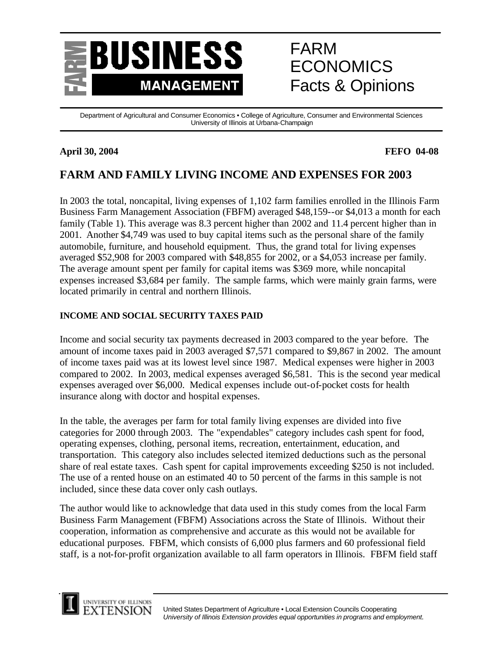

# FARM **ECONOMICS** Facts & Opinions

Department of Agricultural and Consumer Economics • College of Agriculture, Consumer and Environmental Sciences University of Illinois at Urbana-Champaign

## **April 30, 2004 FEFO 04-08**

## **FARM AND FAMILY LIVING INCOME AND EXPENSES FOR 2003**

In 2003 the total, noncapital, living expenses of 1,102 farm families enrolled in the Illinois Farm Business Farm Management Association (FBFM) averaged \$48,159--or \$4,013 a month for each family (Table 1). This average was 8.3 percent higher than 2002 and 11.4 percent higher than in 2001. Another \$4,749 was used to buy capital items such as the personal share of the family automobile, furniture, and household equipment. Thus, the grand total for living expenses averaged \$52,908 for 2003 compared with \$48,855 for 2002, or a \$4,053 increase per family. The average amount spent per family for capital items was \$369 more, while noncapital expenses increased \$3,684 per family. The sample farms, which were mainly grain farms, were located primarily in central and northern Illinois.

## **INCOME AND SOCIAL SECURITY TAXES PAID**

Income and social security tax payments decreased in 2003 compared to the year before. The amount of income taxes paid in 2003 averaged \$7,571 compared to \$9,867 in 2002. The amount of income taxes paid was at its lowest level since 1987. Medical expenses were higher in 2003 compared to 2002. In 2003, medical expenses averaged \$6,581. This is the second year medical expenses averaged over \$6,000. Medical expenses include out-of-pocket costs for health insurance along with doctor and hospital expenses.

In the table, the averages per farm for total family living expenses are divided into five categories for 2000 through 2003. The "expendables" category includes cash spent for food, operating expenses, clothing, personal items, recreation, entertainment, education, and transportation. This category also includes selected itemized deductions such as the personal share of real estate taxes. Cash spent for capital improvements exceeding \$250 is not included. The use of a rented house on an estimated 40 to 50 percent of the farms in this sample is not included, since these data cover only cash outlays.

The author would like to acknowledge that data used in this study comes from the local Farm Business Farm Management (FBFM) Associations across the State of Illinois. Without their cooperation, information as comprehensive and accurate as this would not be available for educational purposes. FBFM, which consists of 6,000 plus farmers and 60 professional field staff, is a not-for-profit organization available to all farm operators in Illinois. FBFM field staff

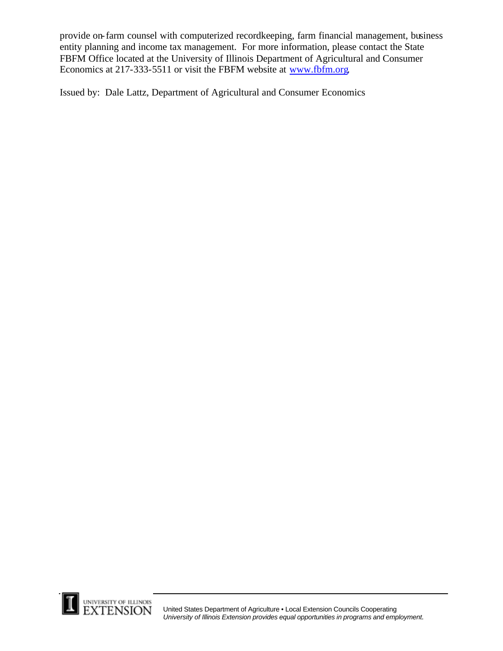provide on-farm counsel with computerized recordkeeping, farm financial management, business entity planning and income tax management. For more information, please contact the State FBFM Office located at the University of Illinois Department of Agricultural and Consumer Economics at 217-333-5511 or visit the FBFM website at www.fbfm.org.

Issued by: Dale Lattz, Department of Agricultural and Consumer Economics

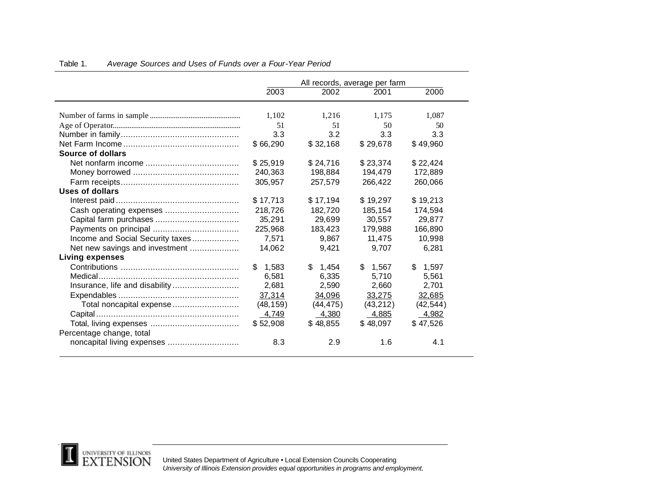|                                  |              | All records, average per farm |             |              |  |
|----------------------------------|--------------|-------------------------------|-------------|--------------|--|
|                                  | 2003         | 2002                          | 2001        | 2000         |  |
|                                  |              |                               |             |              |  |
|                                  | 1,102        | 1,216                         | 1,175       | 1,087        |  |
|                                  | 51           | 51                            | 50          | 50           |  |
|                                  | 3.3          | 3.2                           | 3.3         | 3.3          |  |
|                                  | \$66,290     | \$32,168                      | \$29,678    | \$49,960     |  |
| Source of dollars                |              |                               |             |              |  |
|                                  | \$25,919     | \$24,716                      | \$23,374    | \$22,424     |  |
|                                  | 240,363      | 198,884                       | 194,479     | 172,889      |  |
|                                  | 305.957      | 257,579                       | 266,422     | 260,066      |  |
| Uses of dollars                  |              |                               |             |              |  |
|                                  | \$17,713     | \$17,194                      | \$19,297    | \$19,213     |  |
| Cash operating expenses          | 218,726      | 182,720                       | 185.154     | 174,594      |  |
|                                  | 35,291       | 29,699                        | 30,557      | 29,877       |  |
|                                  | 225,968      | 183,423                       | 179,988     | 166,890      |  |
| Income and Social Security taxes | 7,571        | 9.867                         | 11.475      | 10.998       |  |
| Net new savings and investment   | 14,062       | 9,421                         | 9.707       | 6,281        |  |
| <b>Living expenses</b>           |              |                               |             |              |  |
|                                  | 1,583<br>\$. | \$.<br>1,454                  | \$<br>1,567 | 1,597<br>\$. |  |
|                                  | 6,581        | 6,335                         | 5,710       | 5,561        |  |
| Insurance, life and disability   | 2,681        | 2,590                         | 2,660       | 2,701        |  |
|                                  | 37,314       | 34,096                        | 33,275      | 32,685       |  |
| Total noncapital expense         | (48, 159)    | (44, 475)                     | (43, 212)   | (42, 544)    |  |
|                                  | 4,749        | 4,380                         | 4,885       | $-4,982$     |  |
|                                  | \$52,908     | \$48,855                      | \$48,097    | \$47,526     |  |
| Percentage change, total         |              |                               |             |              |  |
|                                  | 8.3          | 2.9                           | 1.6         | 4.1          |  |

### Table 1. *Average Sources and Uses of Funds over a Four-Year Period*



United States Department of Agriculture • Local Extension Councils Cooperating *University of Illinois Extension provides equal opportunities in programs and employment.*